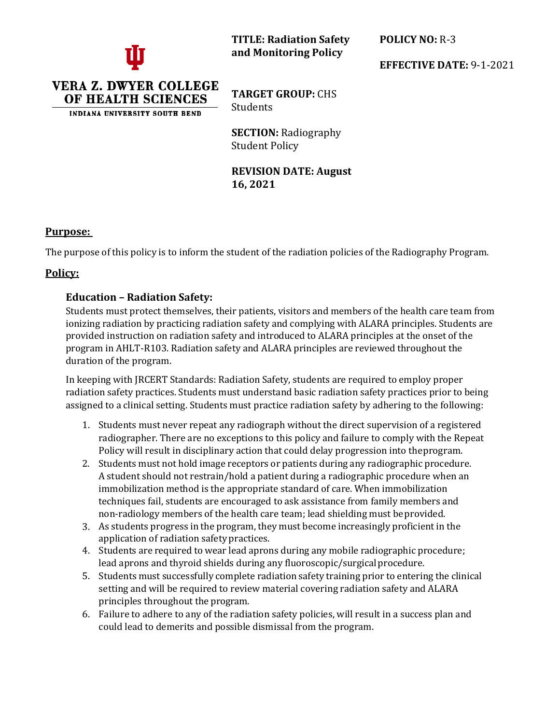

**TITLE: Radiation Safety and Monitoring Policy**

**POLICY NO:** R-3

**EFFECTIVE DATE:** 9-1-2021

**VERA Z. DWYER COLLEGE** OF HEALTH SCIENCES

**INDIANA UNIVERSITY SOUTH BEND** 

**TARGET GROUP:** CHS Students

**SECTION:** Radiography Student Policy

**REVISION DATE: August 16, 2021**

#### **Purpose:**

The purpose of this policy is to inform the student of the radiation policies of the Radiography Program.

# **Policy:**

## **Education – Radiation Safety:**

Students must protect themselves, their patients, visitors and members of the health care team from ionizing radiation by practicing radiation safety and complying with ALARA principles. Students are provided instruction on radiation safety and introduced to ALARA principles at the onset of the program in AHLT-R103. Radiation safety and ALARA principles are reviewed throughout the duration of the program.

In keeping with JRCERT Standards: Radiation Safety, students are required to employ proper radiation safety practices. Students must understand basic radiation safety practices prior to being assigned to a clinical setting. Students must practice radiation safety by adhering to the following:

- 1. Students must never repeat any radiograph without the direct supervision of a registered radiographer. There are no exceptions to this policy and failure to comply with the Repeat Policy will result in disciplinary action that could delay progression into theprogram.
- 2. Students must not hold image receptors or patients during any radiographic procedure. A student should not restrain/hold a patient during a radiographic procedure when an immobilization method is the appropriate standard of care. When immobilization techniques fail, students are encouraged to ask assistance from family members and non-radiology members of the health care team; lead shielding must beprovided.
- 3. As students progress in the program, they must become increasingly proficient in the application of radiation safety practices.
- 4. Students are required to wear lead aprons during any mobile radiographic procedure; lead aprons and thyroid shields during any fluoroscopic/surgical procedure.
- 5. Students must successfully complete radiation safety training prior to entering the clinical setting and will be required to review material covering radiation safety and ALARA principles throughout the program.
- 6. Failure to adhere to any of the radiation safety policies, will result in a success plan and could lead to demerits and possible dismissal from the program.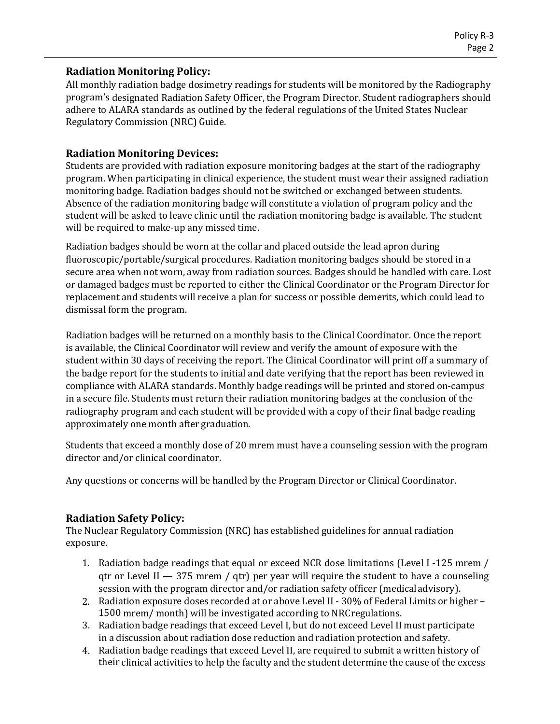#### **Radiation Monitoring Policy:**

All monthly radiation badge dosimetry readings for students will be monitored by the Radiography program's designated Radiation Safety Officer, the Program Director. Student radiographers should adhere to ALARA standards as outlined by the federal regulations of the United States Nuclear Regulatory Commission (NRC) Guide.

### **Radiation Monitoring Devices:**

Students are provided with radiation exposure monitoring badges at the start of the radiography program. When participating in clinical experience, the student must wear their assigned radiation monitoring badge. Radiation badges should not be switched or exchanged between students. Absence of the radiation monitoring badge will constitute a violation of program policy and the student will be asked to leave clinic until the radiation monitoring badge is available. The student will be required to make-up any missed time.

Radiation badges should be worn at the collar and placed outside the lead apron during fluoroscopic/portable/surgical procedures. Radiation monitoring badges should be stored in a secure area when not worn, away from radiation sources. Badges should be handled with care. Lost or damaged badges must be reported to either the Clinical Coordinator or the Program Director for replacement and students will receive a plan for success or possible demerits, which could lead to dismissal form the program.

Radiation badges will be returned on a monthly basis to the Clinical Coordinator. Once the report is available, the Clinical Coordinator will review and verify the amount of exposure with the student within 30 days of receiving the report. The Clinical Coordinator will print off a summary of the badge report for the students to initial and date verifying that the report has been reviewed in compliance with ALARA standards. Monthly badge readings will be printed and stored on-campus in a secure file. Students must return their radiation monitoring badges at the conclusion of the radiography program and each student will be provided with a copy of their final badge reading approximately one month after graduation.

Students that exceed a monthly dose of 20 mrem must have a counseling session with the program director and/or clinical coordinator.

Any questions or concerns will be handled by the Program Director or Clinical Coordinator.

## **Radiation Safety Policy:**

The Nuclear Regulatory Commission (NRC) has established guidelines for annual radiation exposure.

- 1. Radiation badge readings that equal or exceed NCR dose limitations (Level I -125 mrem / qtr or Level II  $-375$  mrem / qtr) per year will require the student to have a counseling session with the program director and/or radiation safety officer (medicaladvisory).
- 2. Radiation exposure doses recorded at or above Level II 30% of Federal Limits or higher 1500 mrem/ month) will be investigated according to NRCregulations.
- 3. Radiation badge readings that exceed Level I, but do not exceed Level II must participate in a discussion about radiation dose reduction and radiation protection and safety.
- 4. Radiation badge readings that exceed Level II, are required to submit a written history of their clinical activities to help the faculty and the student determine the cause of the excess